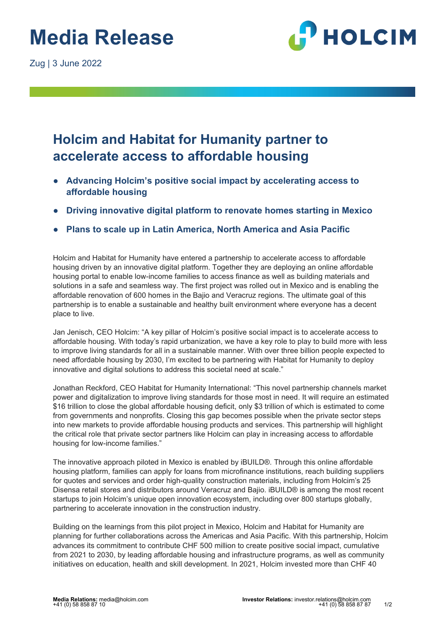# **Media Release**

Zug | 3 June 2022



### **Holcim and Habitat for Humanity partner to accelerate access to affordable housing**

- **Advancing Holcim's positive social impact by accelerating access to affordable housing**
- **Driving innovative digital platform to renovate homes starting in Mexico**
- **Plans to scale up in Latin America, North America and Asia Pacific**

Holcim and Habitat for Humanity have entered a partnership to accelerate access to affordable housing driven by an innovative digital platform. Together they are deploying an online affordable housing portal to enable low-income families to access finance as well as building materials and solutions in a safe and seamless way. The first project was rolled out in Mexico and is enabling the affordable renovation of 600 homes in the Bajio and Veracruz regions. The ultimate goal of this partnership is to enable a sustainable and healthy built environment where everyone has a decent place to live.

Jan Jenisch, CEO Holcim: "A key pillar of Holcim's positive social impact is to accelerate access to affordable housing. With today's rapid urbanization, we have a key role to play to build more with less to improve living standards for all in a sustainable manner. With over three billion people expected to need affordable housing by 2030, I'm excited to be partnering with Habitat for Humanity to deploy innovative and digital solutions to address this societal need at scale."

Jonathan Reckford, CEO Habitat for Humanity International: "This novel partnership channels market power and digitalization to improve living standards for those most in need. It will require an estimated \$16 trillion to close the global affordable housing deficit, only \$3 trillion of which is estimated to come from governments and nonprofits. Closing this gap becomes possible when the private sector steps into new markets to provide affordable housing products and services. This partnership will highlight the critical role that private sector partners like Holcim can play in increasing access to affordable housing for low-income families."

The innovative approach piloted in Mexico is enabled by iBUILD®. Through this online affordable housing platform, families can apply for loans from microfinance institutions, reach building suppliers for quotes and services and order high-quality construction materials, including from Holcim's 25 Disensa retail stores and distributors around Veracruz and Bajio. iBUILD® is among the most recent startups to join Holcim's unique open innovation ecosystem, including over 800 startups globally, partnering to accelerate innovation in the construction industry.

Building on the learnings from this pilot project in Mexico, Holcim and Habitat for Humanity are planning for further collaborations across the Americas and Asia Pacific. With this partnership, Holcim advances its commitment to contribute CHF 500 million to create positive social impact, cumulative from 2021 to 2030, by leading affordable housing and infrastructure programs, as well as community initiatives on education, health and skill development. In 2021, Holcim invested more than CHF 40